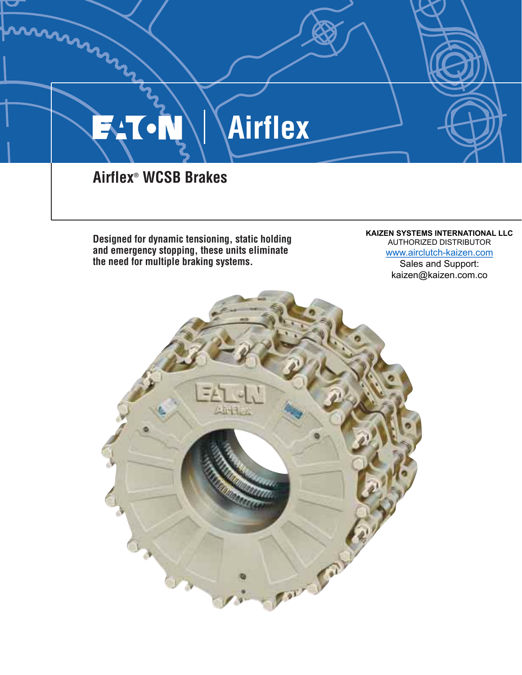

**Designed for dynamic tensioning, static holding and emergency stopping, these units eliminate the need for multiple braking systems.** 

#### **KAIZEN SYSTEMS INTERNATIONAL LLC** AUTHORIZED DISTRIBUTOR www.airclutch-kaizen.com Sales and Support: kaizen@kaizen.com.co

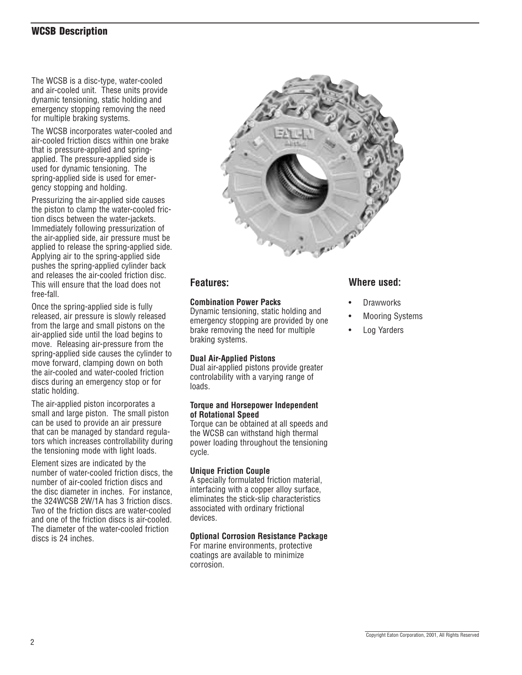### WCSB Description

The WCSB is a disc-type, water-cooled and air-cooled unit. These units provide dynamic tensioning, static holding and emergency stopping removing the need for multiple braking systems.

The WCSB incorporates water-cooled and air-cooled friction discs within one brake that is pressure-applied and springapplied. The pressure-applied side is used for dynamic tensioning. The spring-applied side is used for emergency stopping and holding.

Pressurizing the air-applied side causes the piston to clamp the water-cooled friction discs between the water-jackets. Immediately following pressurization of the air-applied side, air pressure must be applied to release the spring-applied side. Applying air to the spring-applied side pushes the spring-applied cylinder back and releases the air-cooled friction disc. This will ensure that the load does not free-fall.

Once the spring-applied side is fully released, air pressure is slowly released from the large and small pistons on the air-applied side until the load begins to move. Releasing air-pressure from the spring-applied side causes the cylinder to move forward, clamping down on both the air-cooled and water-cooled friction discs during an emergency stop or for static holding.

The air-applied piston incorporates a small and large piston. The small piston can be used to provide an air pressure that can be managed by standard regulators which increases controllability during the tensioning mode with light loads.

Element sizes are indicated by the number of water-cooled friction discs, the number of air-cooled friction discs and the disc diameter in inches. For instance, the 324WCSB 2W/1A has 3 friction discs. Two of the friction discs are water-cooled and one of the friction discs is air-cooled. The diameter of the water-cooled friction discs is 24 inches.



#### **Features:**

#### **Combination Power Packs**

Dynamic tensioning, static holding and emergency stopping are provided by one brake removing the need for multiple braking systems.

#### **Dual Air-Applied Pistons**

Dual air-applied pistons provide greater controlability with a varying range of loads.

#### **Torque and Horsepower Independent of Rotational Speed**

Torque can be obtained at all speeds and the WCSB can withstand high thermal power loading throughout the tensioning cycle.

#### **Unique Friction Couple**

A specially formulated friction material, interfacing with a copper alloy surface, eliminates the stick-slip characteristics associated with ordinary frictional devices.

#### **Optional Corrosion Resistance Package**

For marine environments, protective coatings are available to minimize corrosion.

#### **Where used:**

- **Drawworks**
- Mooring Systems
- Log Yarders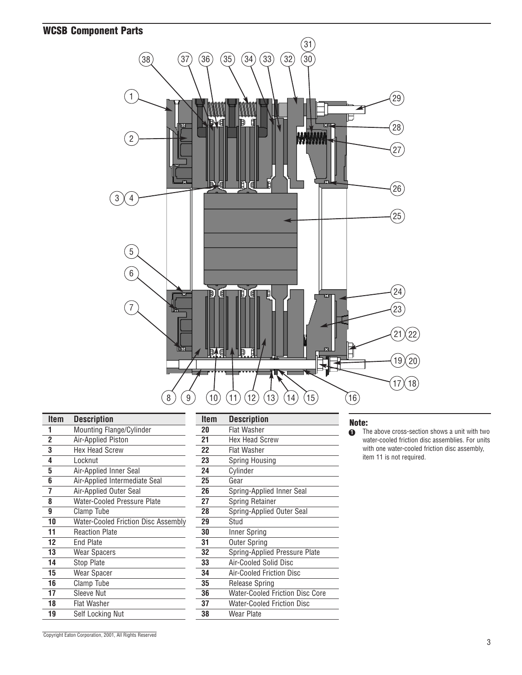## WCSB Component Parts



| Item           | <b>Description</b>                         | <b>Item</b> | <b>Description</b>                |
|----------------|--------------------------------------------|-------------|-----------------------------------|
|                | Mounting Flange/Cylinder                   | 20          | <b>Flat Washer</b>                |
| $\overline{2}$ | Air-Applied Piston                         | 21          | <b>Hex Head Screw</b>             |
| 3              | <b>Hex Head Screw</b>                      | 22          | <b>Flat Washer</b>                |
| 4              | Locknut                                    | 23          | <b>Spring Housing</b>             |
| 5              | Air-Applied Inner Seal                     | 24          | Cylinder                          |
| 6              | Air-Applied Intermediate Seal              | 25          | Gear                              |
| 7              | Air-Applied Outer Seal                     | 26          | Spring-Applied Inner Seal         |
| 8              | <b>Water-Cooled Pressure Plate</b>         | 27          | Spring Retainer                   |
| 9              | Clamp Tube                                 | 28          | Spring-Applied Outer Seal         |
| 10             | <b>Water-Cooled Friction Disc Assembly</b> | 29          | Stud                              |
| 11             | <b>Reaction Plate</b>                      | 30          | Inner Spring                      |
| 12             | End Plate                                  | 31          | <b>Outer Spring</b>               |
| 13             | <b>Wear Spacers</b>                        | 32          | Spring-Applied Pressure Plate     |
| 14             | Stop Plate                                 | 33          | Air-Cooled Solid Disc             |
| 15             | Wear Spacer                                | 34          | Air-Cooled Friction Disc          |
| 16             | Clamp Tube                                 | 35          | Release Spring                    |
| 17             | Sleeve Nut                                 | 36          | Water-Cooled Friction Disc Core   |
| 18             | <b>Flat Washer</b>                         | 37          | <b>Water-Cooled Friction Disc</b> |
| 19             | Self Locking Nut                           | 38          | <b>Wear Plate</b>                 |

| ltem | <b>Description</b>                     |
|------|----------------------------------------|
| 20   | Flat Washer                            |
| 21   | Hex Head Screw                         |
| 22   | <b>Flat Washer</b>                     |
| 23   | Spring Housing                         |
| 24   | Cylinder                               |
| 25   | Gear                                   |
| 26   | Spring-Applied Inner Seal              |
| 27   | Spring Retainer                        |
| 28   | Spring-Applied Outer Seal              |
| 29   | Stud                                   |
| 30   | Inner Spring                           |
| 31   | <b>Outer Spring</b>                    |
| 32   | Spring-Applied Pressure Plate          |
| 33   | Air-Cooled Solid Disc                  |
| 34   | Air-Cooled Friction Disc               |
| 35   | <b>Release Spring</b>                  |
| 36   | <b>Water-Cooled Friction Disc Core</b> |
| 37   | <b>Water-Cooled Friction Disc</b>      |
| 38   | Wear Plate                             |

#### Note:

The above cross-section shows a unit with two water-cooled friction disc assemblies. For units with one water-cooled friction disc assembly, item 11 is not required.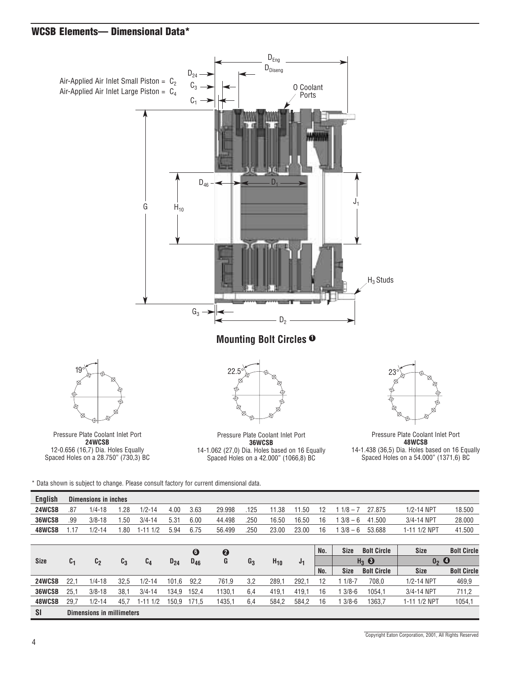## WCSB Elements-- Dimensional Data\*



12-0.656 (16,7) Dia. Holes Equally Spaced Holes on a 28.750" (730,3) BC

14-1.062 (27,0) Dia. Holes based on 16 Equally Spaced Holes on a 42.000" (1066,8) BC

Pressure Plate Coolant Inlet Port 14-1.438 (36,5) Dia. Holes based on 16 Equally Spaced Holes on a 54.000" (1371,6) BC

\* Data shown is subject to change. Please consult factory for current dimensional data.

| <b>English</b> |                | Dimensions in inches      |                |                |          |                       |                       |       |          |           |     |             |                    |              |                    |
|----------------|----------------|---------------------------|----------------|----------------|----------|-----------------------|-----------------------|-------|----------|-----------|-----|-------------|--------------------|--------------|--------------------|
| 24WCSB         | .87            | $1/4 - 18$                | 1.28           | $1/2 - 14$     | 4.00     | 3.63                  | 29.998                | .125  | 11.38    | .50<br>11 | 12  | $1/8 - 1$   | 27.875             | 1/2-14 NPT   | 18.500             |
| 36WCSB         | .99            | $3/8 - 18$                | .50            | $3/4 - 14$     | 5.31     | 6.00                  | 44.498                | .250  | 16.50    | 16.50     | 16  | $3/8 - 6$   | .500<br>41         | 3/4-14 NPT   | 28,000             |
| 48WCSB         | 1.17           | $1/2 - 14$                | 1.80           | $1 - 111/2$    | 5.94     | 6.75                  | 56.499                | .250  | 23.00    | 23.00     | 16  | $3/8 - 6$   | 53.688             | 1-11 1/2 NPT | 41.500             |
|                |                |                           |                |                |          |                       |                       |       |          |           |     |             |                    |              |                    |
|                |                |                           |                |                |          | $\boldsymbol{\Theta}$ | $\boldsymbol{\Theta}$ |       |          |           | No. | <b>Size</b> | <b>Bolt Circle</b> | <b>Size</b>  | <b>Bolt Circle</b> |
| <b>Size</b>    | c <sub>1</sub> | c <sub>2</sub>            | c <sub>3</sub> | c <sub>4</sub> | $D_{24}$ | $D_{46}$              | G                     | $G_3$ | $H_{10}$ | J1        |     |             | $H_3$ $\Theta$     | 0, 0         |                    |
|                |                |                           |                |                |          |                       |                       |       |          |           | No. | <b>Size</b> | <b>Bolt Circle</b> | <b>Size</b>  | <b>Bolt Circle</b> |
| 24WCSB         | 22.1           | $1/4 - 18$                | 32.5           | $1/2 - 14$     | 101.6    | 92,2                  | 761,9                 | 3,2   | 289.     | 292.1     | 12  | $1/8 - 7$   | 708,0              | 1/2-14 NPT   | 469,9              |
| 36WCSB         | 25.1           | $3/8 - 18$                | 38,1           | $3/4 - 14$     | 134.9    | 152.4                 | 1130.1                | 6.4   | 419.     | 419.1     | 16  | $3/8 - 6$   | 1054.1             | 3/4-14 NPT   | 711,2              |
| 48WCSB         | 29.7           | $1/2 - 14$                | 45.7           | $1 - 111/2$    | 150.9    | 171.5                 | 1435,1                | 6,4   | 584,2    | 584,2     | 16  | $3/8 - 6$   | 1363,7             | 1-11 1/2 NPT | 1054,1             |
| <b>SI</b>      |                | Dimensions in millimeters |                |                |          |                       |                       |       |          |           |     |             |                    |              |                    |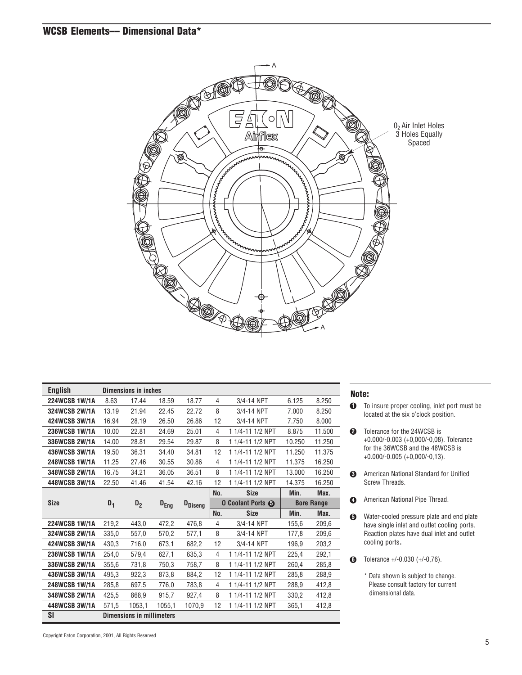### WCSB Elements–– Dimensional Data\*



| <b>English</b> |       | <b>Dimensions in inches</b>      |                  |                 |                          |                  |                   |        |
|----------------|-------|----------------------------------|------------------|-----------------|--------------------------|------------------|-------------------|--------|
| 224WCSB 1W/1A  | 8.63  | 17.44                            | 18.59            | 18.77           | 4                        | 3/4-14 NPT       | 6.125             | 8.250  |
| 324WCSB 2W/1A  | 13.19 | 21.94                            | 22.45            | 22.72           | 8                        | 3/4-14 NPT       | 7.000             | 8.250  |
| 424WCSB 3W/1A  | 16.94 | 28.19                            | 26.50            | 26.86           | 12                       | 3/4-14 NPT       | 7.750             | 8.000  |
| 236WCSB 1W/1A  | 10.00 | 22.81                            | 24.69            | 25.01           | 4                        | 1 1/4-11 1/2 NPT | 8.875             | 11.500 |
| 336WCSB 2W/1A  | 14.00 | 28.81                            | 29.54            | 29.87           | 8                        | 1 1/4-11 1/2 NPT | 10.250            | 11.250 |
| 436WCSB 3W/1A  | 19.50 | 36.31                            | 34.40            | 34.81           | 12                       | 1 1/4-11 1/2 NPT | 11.250            | 11.375 |
| 248WCSB 1W/1A  | 11.25 | 27.46                            | 30.55            | 30.86           | 4                        | 1 1/4-11 1/2 NPT | 11.375            | 16.250 |
| 348WCSB 2W/1A  | 16.75 | 34.21                            | 36.05            | 36.51           | 8                        | 1 1/4-11 1/2 NPT | 13.000            | 16.250 |
| 448WCSB 3W/1A  | 22.50 | 41.46                            | 41.54            | 42.16           | 12                       | 1 1/4-11 1/2 NPT | 14.375            | 16.250 |
|                |       |                                  |                  |                 | No.                      | <b>Size</b>      | Min.              | Max.   |
| <b>Size</b>    | $D_1$ | D <sub>2</sub>                   | $D_{\text{Eng}}$ | <b>D</b> Diseng | <b>O Coolant Ports +</b> |                  | <b>Bore Range</b> |        |
|                |       |                                  |                  |                 | No.                      | <b>Size</b>      | Min.              | Max.   |
| 224WCSB 1W/1A  | 219,2 | 443,0                            | 472,2            | 476,8           | 4                        | 3/4-14 NPT       | 155,6             | 209,6  |
| 324WCSB 2W/1A  | 335,0 | 557,0                            | 570,2            | 577,1           | 8                        | 3/4-14 NPT       | 177,8             | 209,6  |
| 424WCSB 3W/1A  | 430,3 | 716,0                            | 673,1            | 682,2           | 12                       | 3/4-14 NPT       | 196,9             | 203,2  |
| 236WCSB 1W/1A  | 254,0 | 579,4                            | 627,1            | 635,3           | 4                        | 1 1/4-11 1/2 NPT | 225,4             | 292,1  |
| 336WCSB 2W/1A  | 355,6 | 731,8                            | 750,3            | 758,7           | 8                        | 1 1/4-11 1/2 NPT | 260,4             | 285,8  |
| 436WCSB 3W/1A  | 495,3 | 922,3                            | 873,8            | 884,2           | 12                       | 1 1/4-11 1/2 NPT | 285,8             | 288,9  |
| 248WCSB 1W/1A  | 285,8 | 697,5                            | 776,0            | 783,8           | 4                        | 1 1/4-11 1/2 NPT | 288,9             | 412,8  |
| 348WCSB 2W/1A  | 425,5 | 868,9                            | 915,7            | 927,4           | 8                        | 1 1/4-11 1/2 NPT | 330,2             | 412,8  |
| 448WCSB 3W/1A  | 571,5 | 1053,1                           | 1055,1           | 1070,9          | 12                       | 1 1/4-11 1/2 NPT | 365,1             | 412,8  |
| SI             |       | <b>Dimensions in millimeters</b> |                  |                 |                          |                  |                   |        |

#### Note:

- To insure proper cooling, inlet port must be located at the six o'clock position. **1**
- Tolerance for the 24WCSB is **2** +0.000/-0.003 (+0,000/-0,08). Tolerance for the 36WCSB and the 48WCSB is +0.000/-0.005 (+0,000/-0,13).
- American National Standard for Unified **3** Screw Threads.
- American National Pipe Thread.
- Water-cooled pressure plate and end plate have single inlet and outlet cooling ports. Reaction plates have dual inlet and outlet cooling ports. **5**
- Tolerance +/-0.030 (+/-0,76). **6**
	- \* Data shown is subject to change. Please consult factory for current dimensional data.

Copyright Eaton Corporation, 2001, All Rights Reserved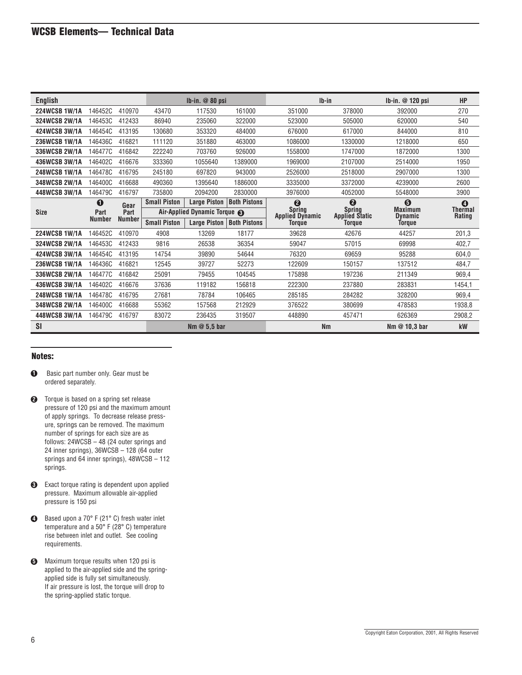| <b>English</b> |               |               |                     | $Ib-in.$ $@$ 80 psi                     |                     | $Ib-in$                                 |                                        | $Ib-in.$ @ 120 psi               | <b>HP</b>                |
|----------------|---------------|---------------|---------------------|-----------------------------------------|---------------------|-----------------------------------------|----------------------------------------|----------------------------------|--------------------------|
| 224WCSB 1W/1A  | 146452C       | 410970        | 43470               | 117530                                  | 161000              | 351000                                  | 378000                                 | 392000                           | 270                      |
| 324WCSB 2W/1A  | 146453C       | 412433        | 86940               | 235060                                  | 322000              | 523000                                  | 505000                                 | 620000                           | 540                      |
| 424WCSB 3W/1A  | 146454C       | 413195        | 130680              | 353320                                  | 484000              | 676000                                  | 617000                                 | 844000                           | 810                      |
| 236WCSB 1W/1A  | 146436C       | 416821        | 111120              | 351880                                  | 463000              | 1086000                                 | 1330000                                | 1218000                          | 650                      |
| 336WCSB 2W/1A  | 146477C       | 416842        | 222240              | 703760                                  | 926000              | 1558000                                 | 1747000                                | 1872000                          | 1300                     |
| 436WCSB 3W/1A  | 146402C       | 416676        | 333360              | 1055640                                 | 1389000             | 1969000                                 | 2107000                                | 2514000                          | 1950                     |
| 248WCSB 1W/1A  | 146478C       | 416795        | 245180              | 697820                                  | 943000              | 2526000                                 | 2518000                                | 2907000                          | 1300                     |
| 348WCSB 2W/1A  | 146400C       | 416688        | 490360              | 1395640                                 | 1886000             | 3335000                                 | 3372000                                | 4239000                          | 2600                     |
| 448WCSB 3W/1A  | 146479C       | 416797        | 735800              | 2094200                                 | 2830000             | 3976000                                 | 4052000                                | 5548000                          | 3900                     |
|                | $\bf{0}$      | Gear          | <b>Small Piston</b> | <b>Large Piston</b>                     | <b>Both Pistons</b> | $\boldsymbol{Q}$                        | ❷                                      | $\boldsymbol{\Theta}$            | $\bf{O}$                 |
| <b>Size</b>    | Part          | Part          |                     | Air-Applied Dynamic Torque <sup>8</sup> |                     | <b>Spring</b><br><b>Applied Dynamic</b> | <b>Spring</b><br><b>Applied Static</b> | <b>Maximum</b><br><b>Dynamic</b> | <b>Thermal</b><br>Rating |
|                | <b>Number</b> | <b>Number</b> | <b>Small Piston</b> | <b>Large Piston</b>                     | <b>Both Pistons</b> | Torque                                  | <b>Torque</b>                          | <b>Torque</b>                    |                          |
| 224WCSB 1W/1A  | 146452C       | 410970        | 4908                | 13269                                   | 18177               | 39628                                   | 42676                                  | 44257                            | 201,3                    |
| 324WCSB 2W/1A  | 146453C       | 412433        | 9816                | 26538                                   | 36354               | 59047                                   | 57015                                  | 69998                            | 402,7                    |
| 424WCSB 3W/1A  | 146454C       | 413195        | 14754               | 39890                                   | 54644               | 76320                                   | 69659                                  | 95288                            | 604,0                    |
| 236WCSB 1W/1A  | 146436C       | 416821        | 12545               | 39727                                   | 52273               | 122609                                  | 150157                                 | 137512                           | 484,7                    |
| 336WCSB 2W/1A  | 146477C       | 416842        | 25091               | 79455                                   | 104545              | 175898                                  | 197236                                 | 211349                           | 969,4                    |
| 436WCSB 3W/1A  | 146402C       | 416676        | 37636               | 119182                                  | 156818              | 222300                                  | 237880                                 | 283831                           | 1454,1                   |
| 248WCSB 1W/1A  | 146478C       | 416795        | 27681               | 78784                                   | 106465              | 285185                                  | 284282                                 | 328200                           | 969.4                    |
| 348WCSB 2W/1A  | 146400C       | 416688        | 55362               | 157568                                  | 212929              | 376522                                  | 380699                                 | 478583                           | 1938,8                   |
| 448WCSB 3W/1A  | 146479C       | 416797        | 83072               | 236435                                  | 319507              | 448890                                  | 457471                                 | 626369                           | 2908,2                   |
| SI             |               |               |                     | Nm $@$ 5.5 bar                          |                     | <b>Nm</b>                               |                                        | Nm $@$ 10.3 bar                  | kW                       |

#### Notes:

- Basic part number only. Gear must be ordered separately. **1**
- Torque is based on a spring set release **2** pressure of 120 psi and the maximum amount of apply springs. To decrease release pressure, springs can be removed. The maximum number of springs for each size are as follows: 24WCSB – 48 (24 outer springs and 24 inner springs), 36WCSB – 128 (64 outer springs and 64 inner springs), 48WCSB – 112 springs.
- Exact torque rating is dependent upon applied **3** pressure. Maximum allowable air-applied pressure is 150 psi
- Based upon a 70° F (21° C) fresh water inlet **4** temperature and a 50° F (28° C) temperature rise between inlet and outlet. See cooling requirements.
- Maximum torque results when 120 psi is **5** applied to the air-applied side and the springapplied side is fully set simultaneously. If air pressure is lost, the torque will drop to the spring-applied static torque.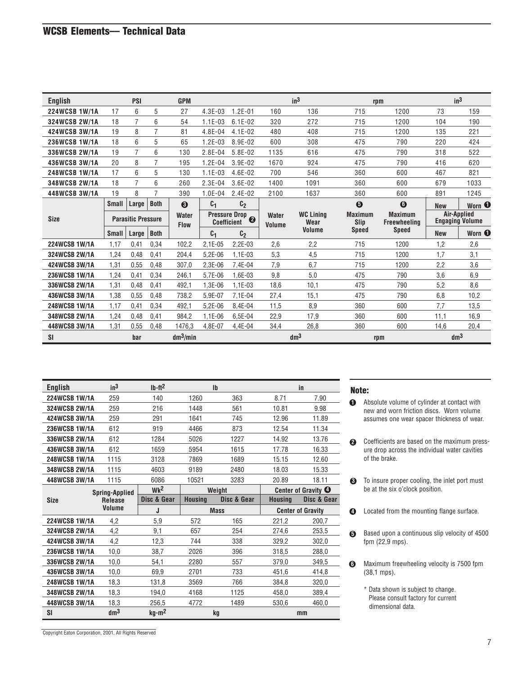| <b>English</b>       |                           | <b>PSI</b>     |                      | <b>GPM</b>            |                |                        |                          | in <sup>3</sup>        | rpm                                   |                                       |                 | in <sup>3</sup> |
|----------------------|---------------------------|----------------|----------------------|-----------------------|----------------|------------------------|--------------------------|------------------------|---------------------------------------|---------------------------------------|-----------------|-----------------|
| 224WCSB 1W/1A        | 17                        | 6              | 5                    | 27                    | $4.3E-03$      | $1.2E - 01$            | 160                      | 136                    | 715                                   | 1200                                  | 73              | 159             |
| 324WCSB 2W/1A        | 18                        | 7              | 6                    | 54                    | $1.1E-03$      | $6.1E-02$              | 320                      | 272                    | 715                                   | 1200                                  | 104             | 190             |
| 424WCSB 3W/1A        | 19                        | 8              | 7                    | 81                    | 4.8E-04        | 4.1E-02                | 480                      | 408                    | 715                                   | 1200                                  | 135             | 221             |
| 236WCSB 1W/1A        | 18                        | 6              | 5                    | 65                    | $1.2E-03$      | 8.9E-02                | 600                      | 308                    | 475                                   | 790                                   | 220             | 424             |
| 336WCSB 2W/1A        | 19                        | $\overline{7}$ | 6                    | 130                   | 2.8E-04        | 5.8E-02                | 1135                     | 616                    | 475                                   | 790                                   | 318             | 522             |
| 436WCSB 3W/1A        | 20                        | 8              | 7                    | 195                   | $1.2E - 04$    | 3.9E-02                | 1670                     | 924                    | 475                                   | 790                                   | 416             | 620             |
| 248WCSB 1W/1A        | 17                        | 6              | 5                    | 130                   | $1.1E-03$      | 4.6E-02                | 700                      | 546                    | 360                                   | 600                                   | 467             | 821             |
| 348WCSB 2W/1A        | 18                        | $\overline{7}$ | 6                    | 260                   | $2.3E-04$      | 3.6E-02                | 1400                     | 1091                   | 360                                   | 600                                   | 679             | 1033            |
| 448WCSB 3W/1A        | 19                        | 8              | $\overline{7}$       | 390                   | $1.0E - 04$    | $2.4E-02$              | 2100                     | 1637                   | 360                                   | 600                                   | 891             | 1245            |
|                      | <b>Small</b>              | Large          | <b>Both</b>          | $\boldsymbol{\Theta}$ | C <sub>1</sub> | C <sub>2</sub>         |                          |                        | $\boldsymbol{\Theta}$                 | $\bf{G}$                              | <b>New</b>      | Worn <b>O</b>   |
| <b>Size</b>          | <b>Parasitic Pressure</b> |                | Water<br><b>Flow</b> | <b>Coefficient</b>    | Pressure Drop  | <b>Water</b><br>Volume | <b>WC Lining</b><br>Wear | <b>Maximum</b><br>Slip | <b>Maximum</b><br><b>Freewheeling</b> | Air-Applied<br><b>Engaging Volume</b> |                 |                 |
|                      | <b>Small</b>              | Large          | <b>Both</b>          |                       | C <sub>1</sub> | C <sub>2</sub>         |                          | <b>Volume</b>          | <b>Speed</b>                          | <b>Speed</b>                          | <b>New</b>      | Worn <b>O</b>   |
| <b>224WCSB 1W/1A</b> | 1,17                      | 0.41           | 0,34                 | 102,2                 | 2,1E-05        | $2.2E-03$              | 2,6                      | 2,2                    | 715                                   | 1200                                  | 1,2             | 2,6             |
| 324WCSB 2W/1A        | 1,24                      | 0,48           | 0,41                 | 204.4                 | $5.2E - 06$    | $1.1E-03$              | 5,3                      | 4,5                    | 715                                   | 1200                                  | 1,7             | 3,1             |
| 424WCSB 3W/1A        | 1,31                      | 0,55           | 0,48                 | 307,0                 | 2,3E-06        | 7,4E-04                | 7,9                      | 6.7                    | 715                                   | 1200                                  | 2,2             | 3,6             |
| 236WCSB 1W/1A        | 1,24                      | 0,41           | 0,34                 | 246.1                 | 5.7E-06        | 1.6E-03                | 9,8                      | 5,0                    | 475                                   | 790                                   | 3,6             | 6,9             |
| 336WCSB 2W/1A        | 1,31                      | 0,48           | 0,41                 | 492,1                 | 1,3E-06        | $1.1E-03$              | 18.6                     | 10,1                   | 475                                   | 790                                   | 5,2             | 8,6             |
| 436WCSB 3W/1A        | 1.38                      | 0,55           | 0,48                 | 738.2                 | 5.9E-07        | 7.1E-04                | 27,4                     | 15,1                   | 475                                   | 790                                   | 6,8             | 10,2            |
| 248WCSB 1W/1A        | 1.17                      | 0,41           | 0.34                 | 492.1                 | $5.2E - 06$    | 8,4E-04                | 11.5                     | 8,9                    | 360                                   | 600                                   | 7,7             | 13,5            |
| 348WCSB 2W/1A        | 1,24                      | 0,48           | 0,41                 | 984,2                 | $1.1E-06$      | 6,5E-04                | 22,9                     | 17,9                   | 360                                   | 600                                   | 11,1            | 16,9            |
| 448WCSB 3W/1A        | 1.31                      | 0,55           | 0.48                 | 1476,3                | 4.8E-07        | 4.4E-04                | 34.4                     | 26,8                   | 360                                   | 600                                   | 14.6            | 20,4            |
| SI                   |                           | bar            |                      | $dm^3/min$            |                |                        |                          | dm <sup>3</sup>        |                                       | rpm                                   | dm <sup>3</sup> |                 |

| <b>English</b>       | in <sup>3</sup>                         | $Ib-ft2$        |         | $\mathsf{I}$ |                                | in                       |  |
|----------------------|-----------------------------------------|-----------------|---------|--------------|--------------------------------|--------------------------|--|
| <b>224WCSB 1W/1A</b> | 259                                     | 140             | 1260    | 363          | 8.71                           | 7.90                     |  |
| 324WCSB 2W/1A        | 259                                     | 216             | 1448    | 561          | 10.81                          | 9.98                     |  |
| 424WCSB 3W/1A        | 259                                     | 291             | 1641    | 745          | 12.96                          | 11.89                    |  |
| <b>236WCSB 1W/1A</b> | 612                                     | 919             | 4466    | 873          | 12.54                          | 11.34                    |  |
| 336WCSB 2W/1A        | 612                                     | 1284            | 5026    | 1227         | 14.92                          | 13.76                    |  |
| 436WCSB 3W/1A        | 612                                     | 1659            | 5954    | 1615         | 17.78                          | 16.33                    |  |
| <b>248WCSB 1W/1A</b> | 1115                                    | 3128            | 7869    | 1689         | 15.15                          | 12.60                    |  |
| 348WCSB 2W/1A        | 1115                                    | 4603            | 9189    | 2480         | 18.03                          | 15.33                    |  |
| 448WCSB 3W/1A        | 1115                                    | 6086            | 10521   | 3283         | 20.89                          | 18.11                    |  |
|                      | <b>Spring-Applied</b><br><b>Release</b> | Wk <sup>2</sup> |         | Weight       | Center of Gravity <sup>O</sup> |                          |  |
|                      |                                         |                 |         |              |                                |                          |  |
| <b>Size</b>          |                                         | Disc & Gear     | Housina | Disc & Gear  | <b>Housing</b>                 | Disc & Gear              |  |
|                      | <b>Volume</b>                           | J               |         | <b>Mass</b>  |                                | <b>Center of Gravity</b> |  |
| <b>224WCSB 1W/1A</b> | 4,2                                     | 5,9             | 572     | 165          | 221,2                          | 200,7                    |  |
| 324WCSB 2W/1A        | 4,2                                     | 9,1             | 657     | 254          | 274,6                          | 253,5                    |  |
| 424WCSB 3W/1A        | 4,2                                     | 12,3            | 744     | 338          | 329,2                          | 302,0                    |  |
| 236WCSB 1W/1A        | 10,0                                    | 38,7            | 2026    | 396          | 318,5                          | 288,0                    |  |
| 336WCSB 2W/1A        | 10,0                                    | 54,1            | 2280    | 557          | 379,0                          | 349,5                    |  |
| 436WCSB 3W/1A        | 10,0                                    | 69,9            | 2701    | 733          | 451,6                          | 414,8                    |  |
| 248WCSB 1W/1A        | 18,3                                    | 131,8           | 3569    | 766          | 384,8                          | 320,0                    |  |
| 348WCSB 2W/1A        | 18,3                                    | 194,0           | 4168    | 1125         | 458,0                          | 389,4                    |  |
| 448WCSB 3W/1A        | 18,3                                    | 256,5           | 4772    | 1489         | 530,6                          | 460,0                    |  |

#### Note:

- **1** Absolute volume of cylinder at contact with new and worn friction discs. Worn volume assumes one wear spacer thickness of wear.
- Coefficients are based on the maximum press-**2** ure drop across the individual water cavities of the brake.
- To insure proper cooling, the inlet port must **3** be at the six o'clock position.
- **4** Located from the mounting flange surface.
- **5** Based upon a continuous slip velocity of 4500 fpm (22,9 mps).
- Maximum freewheeling velocity is 7500 fpm **6** (38,1 mps).
	- \* Data shown is subject to change. Please consult factory for current dimensional data.

Copyright Eaton Corporation, 2001, All Rights Reserved